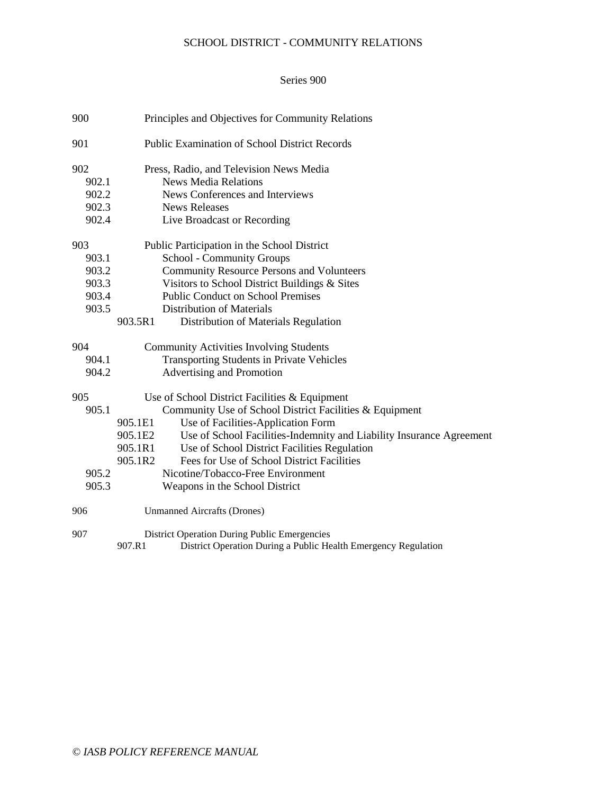# SCHOOL DISTRICT - COMMUNITY RELATIONS

### Series 900

| 900   | Principles and Objectives for Community Relations                               |
|-------|---------------------------------------------------------------------------------|
| 901   | <b>Public Examination of School District Records</b>                            |
| 902   | Press, Radio, and Television News Media                                         |
| 902.1 | <b>News Media Relations</b>                                                     |
| 902.2 | News Conferences and Interviews                                                 |
| 902.3 | <b>News Releases</b>                                                            |
| 902.4 | Live Broadcast or Recording                                                     |
| 903   | Public Participation in the School District                                     |
| 903.1 | School - Community Groups                                                       |
| 903.2 | <b>Community Resource Persons and Volunteers</b>                                |
| 903.3 | Visitors to School District Buildings & Sites                                   |
| 903.4 | <b>Public Conduct on School Premises</b>                                        |
| 903.5 | <b>Distribution of Materials</b>                                                |
|       | 903.5R1<br>Distribution of Materials Regulation                                 |
| 904   | <b>Community Activities Involving Students</b>                                  |
| 904.1 | <b>Transporting Students in Private Vehicles</b>                                |
| 904.2 | Advertising and Promotion                                                       |
| 905   | Use of School District Facilities & Equipment                                   |
| 905.1 | Community Use of School District Facilities & Equipment                         |
|       | Use of Facilities-Application Form<br>905.1E1                                   |
|       | Use of School Facilities-Indemnity and Liability Insurance Agreement<br>905.1E2 |
|       | 905.1R1<br>Use of School District Facilities Regulation                         |
|       | Fees for Use of School District Facilities<br>905.1R2                           |
| 905.2 | Nicotine/Tobacco-Free Environment                                               |
| 905.3 | Weapons in the School District                                                  |
| 906   | <b>Unmanned Aircrafts (Drones)</b>                                              |
| 907   | <b>District Operation During Public Emergencies</b>                             |
|       | 907.R1<br>District Operation During a Public Health Emergency Regulation        |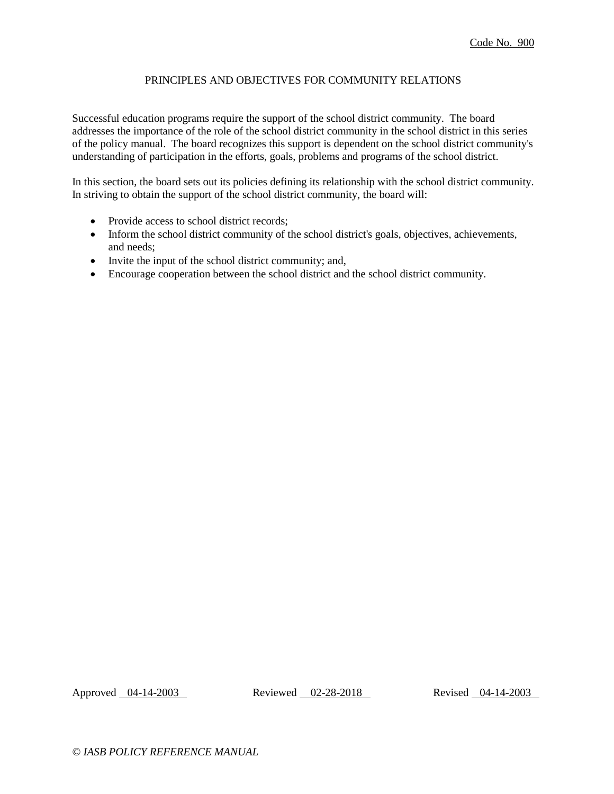# PRINCIPLES AND OBJECTIVES FOR COMMUNITY RELATIONS

Successful education programs require the support of the school district community. The board addresses the importance of the role of the school district community in the school district in this series of the policy manual. The board recognizes this support is dependent on the school district community's understanding of participation in the efforts, goals, problems and programs of the school district.

In this section, the board sets out its policies defining its relationship with the school district community. In striving to obtain the support of the school district community, the board will:

- Provide access to school district records;
- Inform the school district community of the school district's goals, objectives, achievements, and needs;
- Invite the input of the school district community; and,
- Encourage cooperation between the school district and the school district community.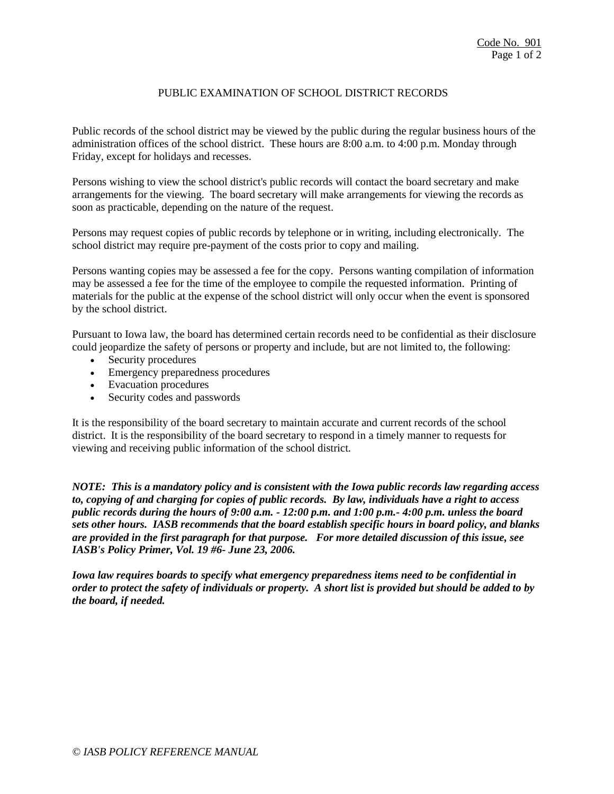# PUBLIC EXAMINATION OF SCHOOL DISTRICT RECORDS

Public records of the school district may be viewed by the public during the regular business hours of the administration offices of the school district. These hours are 8:00 a.m. to 4:00 p.m. Monday through Friday, except for holidays and recesses.

Persons wishing to view the school district's public records will contact the board secretary and make arrangements for the viewing. The board secretary will make arrangements for viewing the records as soon as practicable, depending on the nature of the request.

Persons may request copies of public records by telephone or in writing, including electronically. The school district may require pre-payment of the costs prior to copy and mailing.

Persons wanting copies may be assessed a fee for the copy. Persons wanting compilation of information may be assessed a fee for the time of the employee to compile the requested information. Printing of materials for the public at the expense of the school district will only occur when the event is sponsored by the school district.

Pursuant to Iowa law, the board has determined certain records need to be confidential as their disclosure could jeopardize the safety of persons or property and include, but are not limited to, the following:

- Security procedures
- Emergency preparedness procedures
- Evacuation procedures
- Security codes and passwords

It is the responsibility of the board secretary to maintain accurate and current records of the school district. It is the responsibility of the board secretary to respond in a timely manner to requests for viewing and receiving public information of the school district.

*NOTE: This is a mandatory policy and is consistent with the Iowa public records law regarding access to, copying of and charging for copies of public records. By law, individuals have a right to access public records during the hours of 9:00 a.m. - 12:00 p.m. and 1:00 p.m.- 4:00 p.m. unless the board sets other hours. IASB recommends that the board establish specific hours in board policy, and blanks are provided in the first paragraph for that purpose. For more detailed discussion of this issue, see IASB's Policy Primer, Vol. 19 #6- June 23, 2006.*

*Iowa law requires boards to specify what emergency preparedness items need to be confidential in order to protect the safety of individuals or property. A short list is provided but should be added to by the board, if needed.*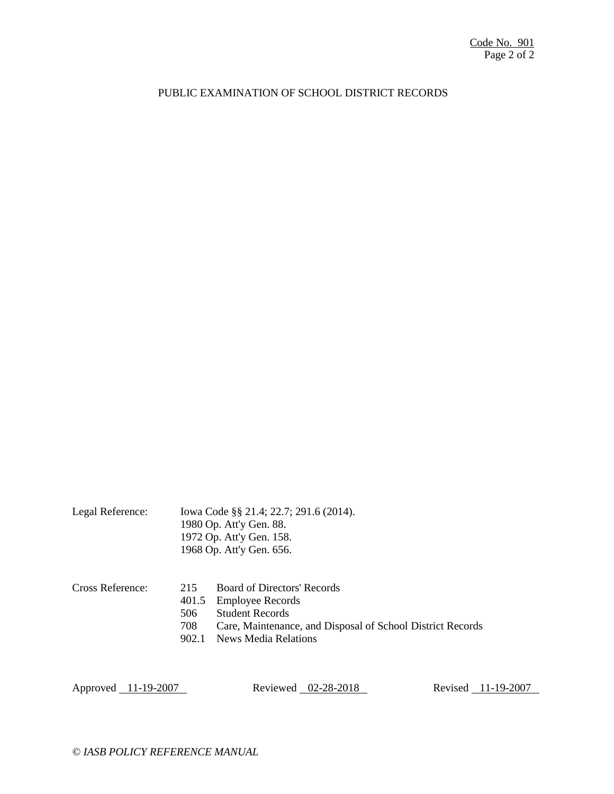## PUBLIC EXAMINATION OF SCHOOL DISTRICT RECORDS

|                  |                                     | 1980 Op. Att'y Gen. 88.<br>1972 Op. Att'y Gen. 158.<br>1968 Op. Att'y Gen. 656.                                                                                               |
|------------------|-------------------------------------|-------------------------------------------------------------------------------------------------------------------------------------------------------------------------------|
| Cross Reference: | 215<br>401.5<br>506<br>708<br>902.1 | <b>Board of Directors' Records</b><br><b>Employee Records</b><br><b>Student Records</b><br>Care, Maintenance, and Disposal of School District Records<br>News Media Relations |

Legal Reference: Iowa Code §§ 21.4; 22.7; 291.6 (2014).

Approved 11-19-2007 Reviewed 02-28-2018 Revised 11-19-2007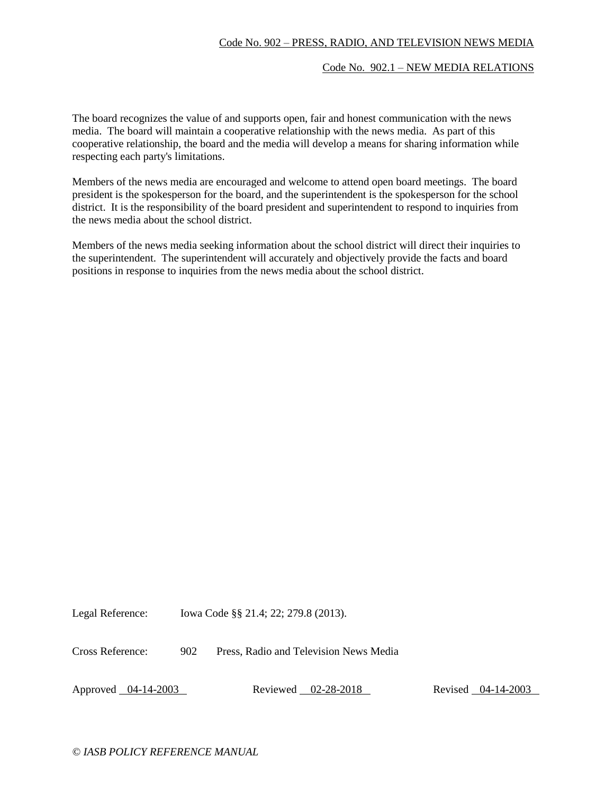## Code No. 902 – PRESS, RADIO, AND TELEVISION NEWS MEDIA

#### Code No. 902.1 – NEW MEDIA RELATIONS

The board recognizes the value of and supports open, fair and honest communication with the news media. The board will maintain a cooperative relationship with the news media. As part of this cooperative relationship, the board and the media will develop a means for sharing information while respecting each party's limitations.

Members of the news media are encouraged and welcome to attend open board meetings. The board president is the spokesperson for the board, and the superintendent is the spokesperson for the school district. It is the responsibility of the board president and superintendent to respond to inquiries from the news media about the school district.

Members of the news media seeking information about the school district will direct their inquiries to the superintendent. The superintendent will accurately and objectively provide the facts and board positions in response to inquiries from the news media about the school district.

Legal Reference: Iowa Code §§ 21.4; 22; 279.8 (2013).

Cross Reference: 902 Press, Radio and Television News Media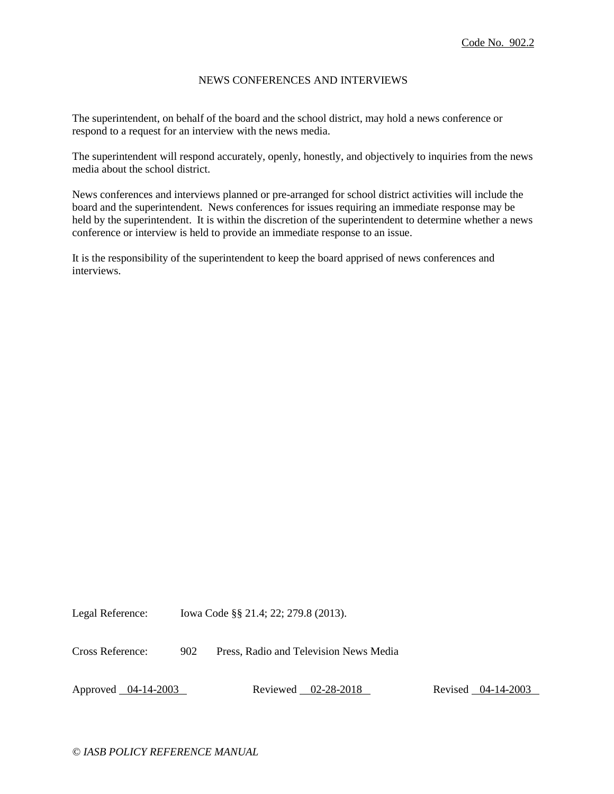### NEWS CONFERENCES AND INTERVIEWS

The superintendent, on behalf of the board and the school district, may hold a news conference or respond to a request for an interview with the news media.

The superintendent will respond accurately, openly, honestly, and objectively to inquiries from the news media about the school district.

News conferences and interviews planned or pre-arranged for school district activities will include the board and the superintendent. News conferences for issues requiring an immediate response may be held by the superintendent. It is within the discretion of the superintendent to determine whether a news conference or interview is held to provide an immediate response to an issue.

It is the responsibility of the superintendent to keep the board apprised of news conferences and interviews.

Legal Reference: Iowa Code §§ 21.4; 22; 279.8 (2013).

Cross Reference: 902 Press, Radio and Television News Media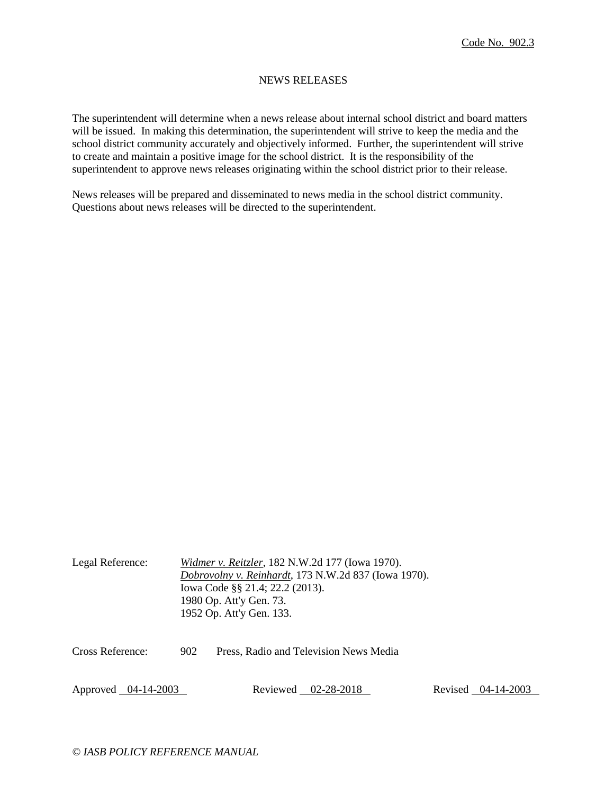### NEWS RELEASES

The superintendent will determine when a news release about internal school district and board matters will be issued. In making this determination, the superintendent will strive to keep the media and the school district community accurately and objectively informed. Further, the superintendent will strive to create and maintain a positive image for the school district. It is the responsibility of the superintendent to approve news releases originating within the school district prior to their release.

News releases will be prepared and disseminated to news media in the school district community. Questions about news releases will be directed to the superintendent.

| Legal Reference: | Widmer v. Reitzler, 182 N.W.2d 177 (Iowa 1970).<br>Dobrovolny v. Reinhardt, 173 N.W.2d 837 (Iowa 1970).<br>Iowa Code §§ 21.4; 22.2 (2013).<br>1980 Op. Att'y Gen. 73.<br>1952 Op. Att'y Gen. 133. |                                        |  |  |
|------------------|---------------------------------------------------------------------------------------------------------------------------------------------------------------------------------------------------|----------------------------------------|--|--|
| Cross Reference: | 902                                                                                                                                                                                               | Press, Radio and Television News Media |  |  |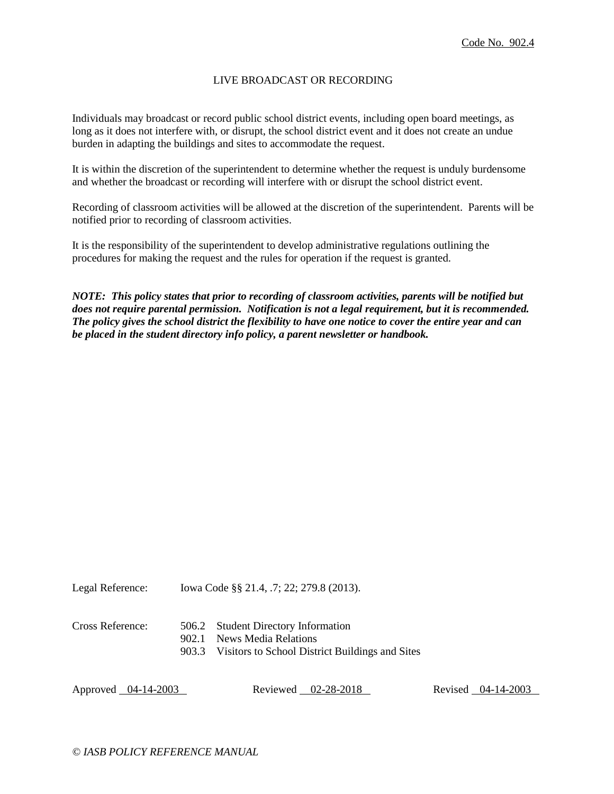### LIVE BROADCAST OR RECORDING

Individuals may broadcast or record public school district events, including open board meetings, as long as it does not interfere with, or disrupt, the school district event and it does not create an undue burden in adapting the buildings and sites to accommodate the request.

It is within the discretion of the superintendent to determine whether the request is unduly burdensome and whether the broadcast or recording will interfere with or disrupt the school district event.

Recording of classroom activities will be allowed at the discretion of the superintendent. Parents will be notified prior to recording of classroom activities.

It is the responsibility of the superintendent to develop administrative regulations outlining the procedures for making the request and the rules for operation if the request is granted.

*NOTE: This policy states that prior to recording of classroom activities, parents will be notified but does not require parental permission. Notification is not a legal requirement, but it is recommended. The policy gives the school district the flexibility to have one notice to cover the entire year and can be placed in the student directory info policy, a parent newsletter or handbook.*

Legal Reference: Iowa Code §§ 21.4, .7; 22; 279.8 (2013).

| Cross Reference: | 506.2 Student Directory Information |
|------------------|-------------------------------------|
|                  |                                     |

- 902.1 News Media Relations
- 903.3 Visitors to School District Buildings and Sites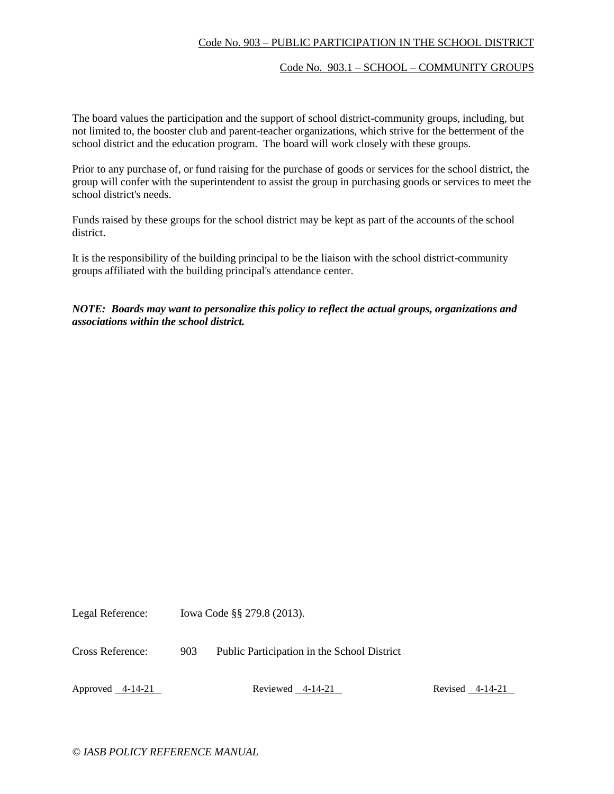# Code No. 903 – PUBLIC PARTICIPATION IN THE SCHOOL DISTRICT

#### Code No. 903.1 – SCHOOL – COMMUNITY GROUPS

The board values the participation and the support of school district-community groups, including, but not limited to, the booster club and parent-teacher organizations, which strive for the betterment of the school district and the education program. The board will work closely with these groups.

Prior to any purchase of, or fund raising for the purchase of goods or services for the school district, the group will confer with the superintendent to assist the group in purchasing goods or services to meet the school district's needs.

Funds raised by these groups for the school district may be kept as part of the accounts of the school district.

It is the responsibility of the building principal to be the liaison with the school district-community groups affiliated with the building principal's attendance center.

# *NOTE: Boards may want to personalize this policy to reflect the actual groups, organizations and associations within the school district.*

Legal Reference: Iowa Code §§ 279.8 (2013).

Cross Reference: 903 Public Participation in the School District

Approved 4-14-21 Reviewed 4-14-21 Reviewed 4-14-21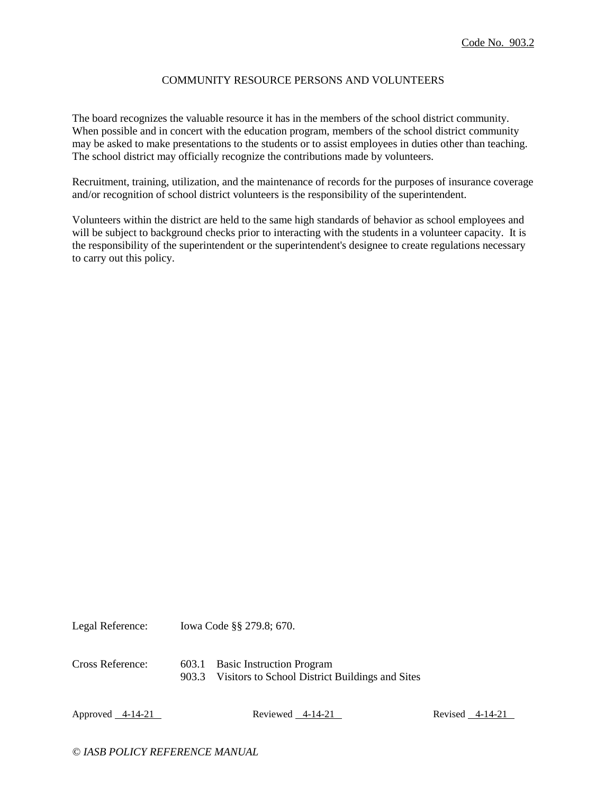### COMMUNITY RESOURCE PERSONS AND VOLUNTEERS

The board recognizes the valuable resource it has in the members of the school district community. When possible and in concert with the education program, members of the school district community may be asked to make presentations to the students or to assist employees in duties other than teaching. The school district may officially recognize the contributions made by volunteers.

Recruitment, training, utilization, and the maintenance of records for the purposes of insurance coverage and/or recognition of school district volunteers is the responsibility of the superintendent.

Volunteers within the district are held to the same high standards of behavior as school employees and will be subject to background checks prior to interacting with the students in a volunteer capacity. It is the responsibility of the superintendent or the superintendent's designee to create regulations necessary to carry out this policy.

Legal Reference: Iowa Code §§ 279.8; 670. Cross Reference: 603.1 Basic Instruction Program 903.3 Visitors to School District Buildings and Sites

Approved 4-14-21 Reviewed 4-14-21 Reviewed 4-14-21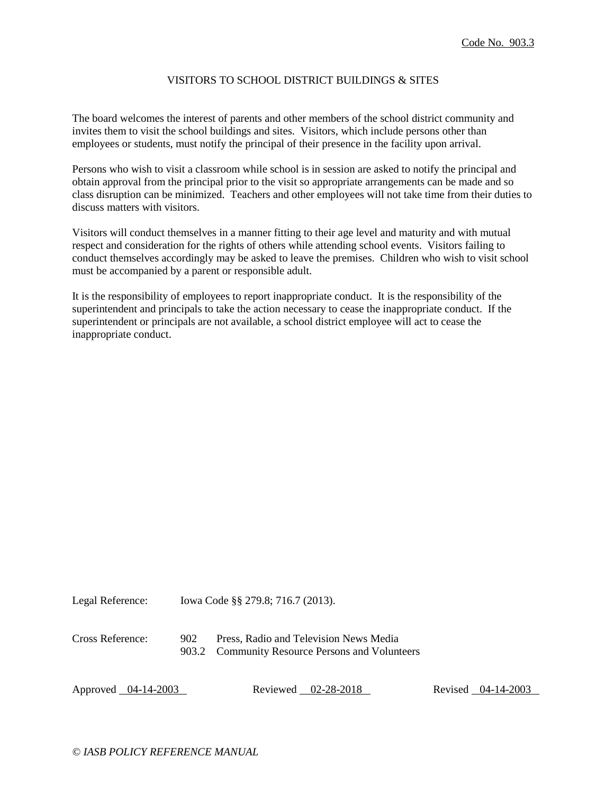### VISITORS TO SCHOOL DISTRICT BUILDINGS & SITES

The board welcomes the interest of parents and other members of the school district community and invites them to visit the school buildings and sites. Visitors, which include persons other than employees or students, must notify the principal of their presence in the facility upon arrival.

Persons who wish to visit a classroom while school is in session are asked to notify the principal and obtain approval from the principal prior to the visit so appropriate arrangements can be made and so class disruption can be minimized. Teachers and other employees will not take time from their duties to discuss matters with visitors.

Visitors will conduct themselves in a manner fitting to their age level and maturity and with mutual respect and consideration for the rights of others while attending school events. Visitors failing to conduct themselves accordingly may be asked to leave the premises. Children who wish to visit school must be accompanied by a parent or responsible adult.

It is the responsibility of employees to report inappropriate conduct. It is the responsibility of the superintendent and principals to take the action necessary to cease the inappropriate conduct. If the superintendent or principals are not available, a school district employee will act to cease the inappropriate conduct.

Legal Reference: Iowa Code §§ 279.8; 716.7 (2013).

| Cross Reference: | 902 | Press, Radio and Television News Media          |
|------------------|-----|-------------------------------------------------|
|                  |     | 903.2 Community Resource Persons and Volunteers |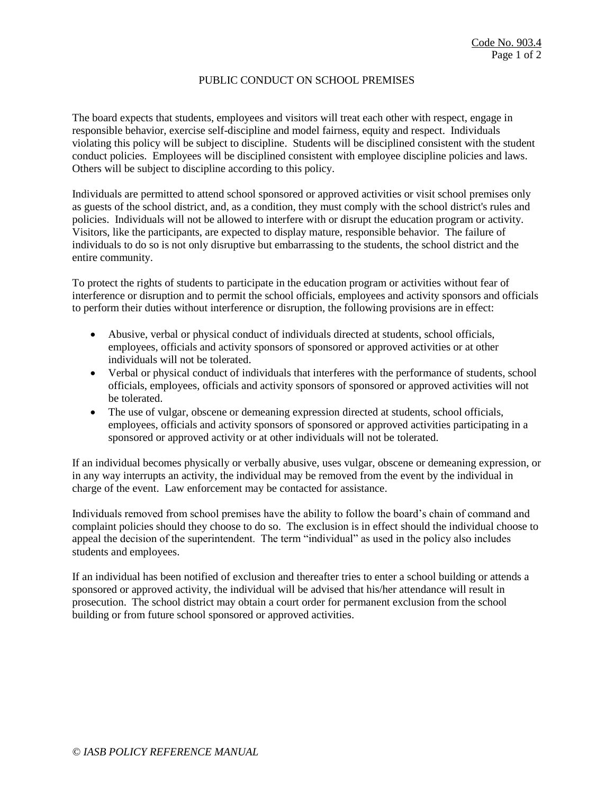## PUBLIC CONDUCT ON SCHOOL PREMISES

The board expects that students, employees and visitors will treat each other with respect, engage in responsible behavior, exercise self-discipline and model fairness, equity and respect. Individuals violating this policy will be subject to discipline. Students will be disciplined consistent with the student conduct policies. Employees will be disciplined consistent with employee discipline policies and laws. Others will be subject to discipline according to this policy.

Individuals are permitted to attend school sponsored or approved activities or visit school premises only as guests of the school district, and, as a condition, they must comply with the school district's rules and policies. Individuals will not be allowed to interfere with or disrupt the education program or activity. Visitors, like the participants, are expected to display mature, responsible behavior. The failure of individuals to do so is not only disruptive but embarrassing to the students, the school district and the entire community.

To protect the rights of students to participate in the education program or activities without fear of interference or disruption and to permit the school officials, employees and activity sponsors and officials to perform their duties without interference or disruption, the following provisions are in effect:

- Abusive, verbal or physical conduct of individuals directed at students, school officials, employees, officials and activity sponsors of sponsored or approved activities or at other individuals will not be tolerated.
- Verbal or physical conduct of individuals that interferes with the performance of students, school officials, employees, officials and activity sponsors of sponsored or approved activities will not be tolerated.
- The use of vulgar, obscene or demeaning expression directed at students, school officials, employees, officials and activity sponsors of sponsored or approved activities participating in a sponsored or approved activity or at other individuals will not be tolerated.

If an individual becomes physically or verbally abusive, uses vulgar, obscene or demeaning expression, or in any way interrupts an activity, the individual may be removed from the event by the individual in charge of the event. Law enforcement may be contacted for assistance.

Individuals removed from school premises have the ability to follow the board's chain of command and complaint policies should they choose to do so. The exclusion is in effect should the individual choose to appeal the decision of the superintendent. The term "individual" as used in the policy also includes students and employees.

If an individual has been notified of exclusion and thereafter tries to enter a school building or attends a sponsored or approved activity, the individual will be advised that his/her attendance will result in prosecution. The school district may obtain a court order for permanent exclusion from the school building or from future school sponsored or approved activities.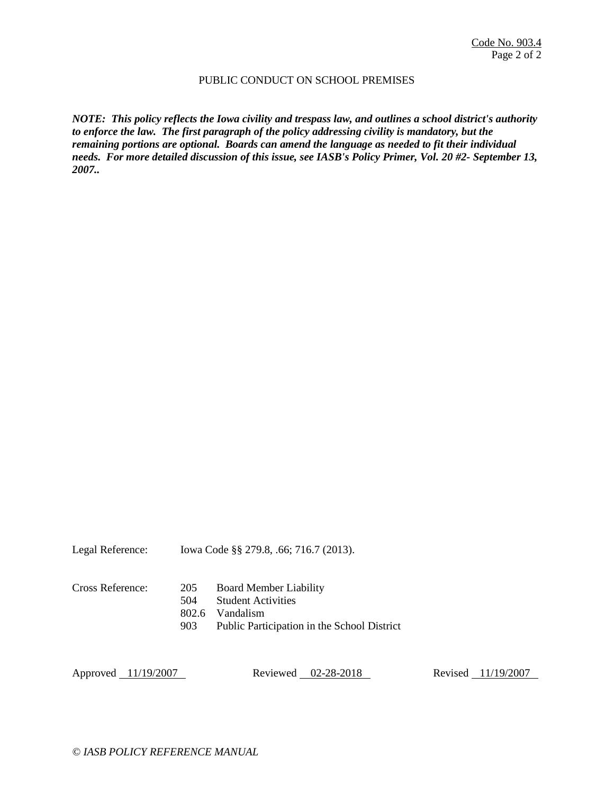### PUBLIC CONDUCT ON SCHOOL PREMISES

*NOTE: This policy reflects the Iowa civility and trespass law, and outlines a school district's authority to enforce the law. The first paragraph of the policy addressing civility is mandatory, but the remaining portions are optional. Boards can amend the language as needed to fit their individual needs. For more detailed discussion of this issue, see IASB's Policy Primer, Vol. 20 #2- September 13, 2007..*

| Legal Reference:    |                            | lowa Code §§ 279.8, .66; 716.7 (2013).                                                                                 |                    |
|---------------------|----------------------------|------------------------------------------------------------------------------------------------------------------------|--------------------|
| Cross Reference:    | 205<br>504<br>802.6<br>903 | <b>Board Member Liability</b><br><b>Student Activities</b><br>Vandalism<br>Public Participation in the School District |                    |
| Approved 11/19/2007 |                            | Reviewed 02-28-2018                                                                                                    | Revised 11/19/2007 |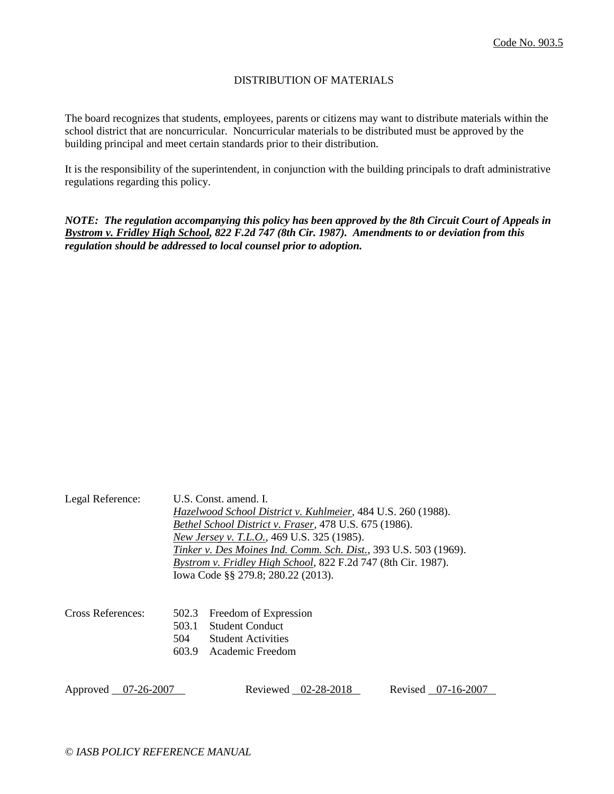## DISTRIBUTION OF MATERIALS

The board recognizes that students, employees, parents or citizens may want to distribute materials within the school district that are noncurricular. Noncurricular materials to be distributed must be approved by the building principal and meet certain standards prior to their distribution.

It is the responsibility of the superintendent, in conjunction with the building principals to draft administrative regulations regarding this policy.

*NOTE: The regulation accompanying this policy has been approved by the 8th Circuit Court of Appeals in Bystrom v. Fridley High School, 822 F.2d 747 (8th Cir. 1987). Amendments to or deviation from this regulation should be addressed to local counsel prior to adoption.*

| Legal Reference:    |                       | U.S. Const. amend. I.<br>Hazelwood School District v. Kuhlmeier, 484 U.S. 260 (1988).<br>Bethel School District v. Fraser, 478 U.S. 675 (1986).<br>New Jersey v. T.L.O., 469 U.S. 325 (1985).<br>Tinker v. Des Moines Ind. Comm. Sch. Dist., 393 U.S. 503 (1969).<br>Bystrom v. Fridley High School, 822 F.2d 747 (8th Cir. 1987).<br>Iowa Code §§ 279.8; 280.22 (2013). |                    |
|---------------------|-----------------------|--------------------------------------------------------------------------------------------------------------------------------------------------------------------------------------------------------------------------------------------------------------------------------------------------------------------------------------------------------------------------|--------------------|
| Cross References:   | 502.3<br>503.1<br>504 | Freedom of Expression<br><b>Student Conduct</b><br><b>Student Activities</b><br>603.9 Academic Freedom                                                                                                                                                                                                                                                                   |                    |
| Approved 07-26-2007 |                       | Reviewed 02-28-2018                                                                                                                                                                                                                                                                                                                                                      | Revised 07-16-2007 |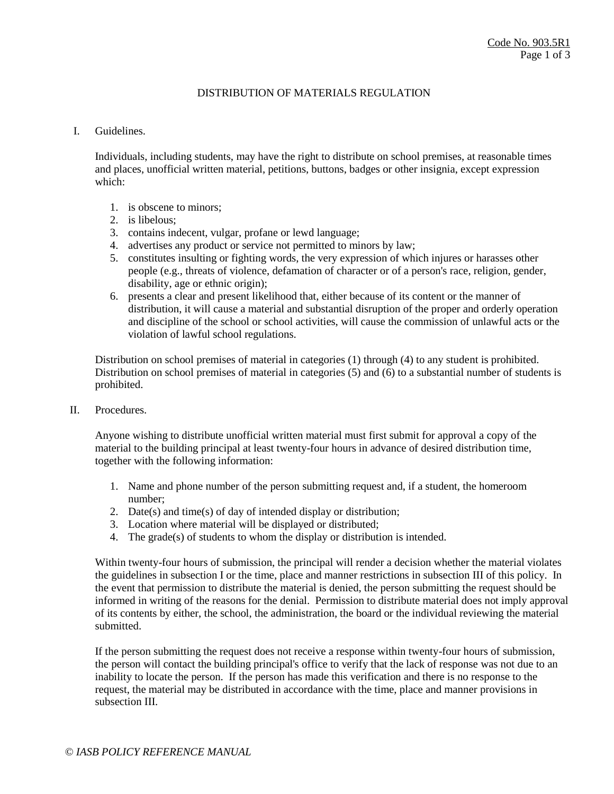## DISTRIBUTION OF MATERIALS REGULATION

#### I. Guidelines.

Individuals, including students, may have the right to distribute on school premises, at reasonable times and places, unofficial written material, petitions, buttons, badges or other insignia, except expression which:

- 1. is obscene to minors;
- 2. is libelous;
- 3. contains indecent, vulgar, profane or lewd language;
- 4. advertises any product or service not permitted to minors by law;
- 5. constitutes insulting or fighting words, the very expression of which injures or harasses other people (e.g., threats of violence, defamation of character or of a person's race, religion, gender, disability, age or ethnic origin);
- 6. presents a clear and present likelihood that, either because of its content or the manner of distribution, it will cause a material and substantial disruption of the proper and orderly operation and discipline of the school or school activities, will cause the commission of unlawful acts or the violation of lawful school regulations.

Distribution on school premises of material in categories (1) through (4) to any student is prohibited. Distribution on school premises of material in categories (5) and (6) to a substantial number of students is prohibited.

II. Procedures.

Anyone wishing to distribute unofficial written material must first submit for approval a copy of the material to the building principal at least twenty-four hours in advance of desired distribution time, together with the following information:

- 1. Name and phone number of the person submitting request and, if a student, the homeroom number;
- 2. Date(s) and time(s) of day of intended display or distribution;
- 3. Location where material will be displayed or distributed;
- 4. The grade(s) of students to whom the display or distribution is intended.

Within twenty-four hours of submission, the principal will render a decision whether the material violates the guidelines in subsection I or the time, place and manner restrictions in subsection III of this policy. In the event that permission to distribute the material is denied, the person submitting the request should be informed in writing of the reasons for the denial. Permission to distribute material does not imply approval of its contents by either, the school, the administration, the board or the individual reviewing the material submitted.

If the person submitting the request does not receive a response within twenty-four hours of submission, the person will contact the building principal's office to verify that the lack of response was not due to an inability to locate the person. If the person has made this verification and there is no response to the request, the material may be distributed in accordance with the time, place and manner provisions in subsection III.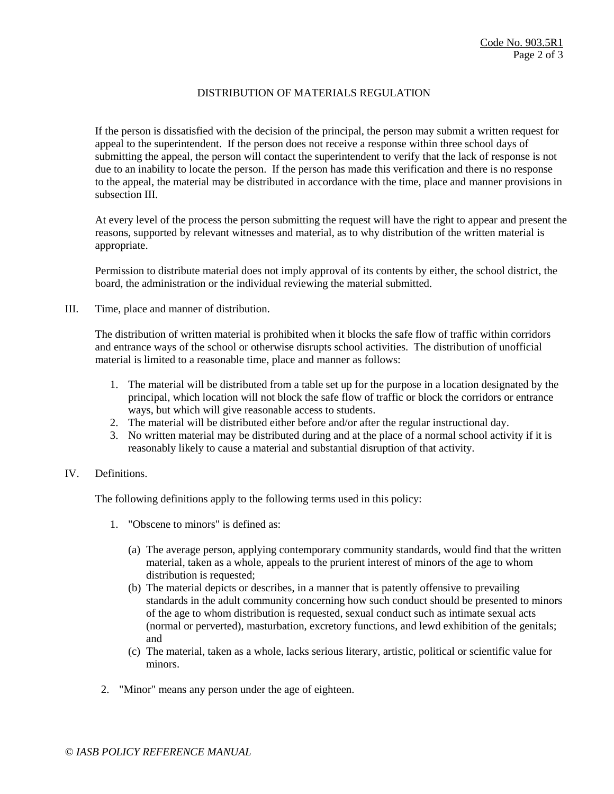## DISTRIBUTION OF MATERIALS REGULATION

If the person is dissatisfied with the decision of the principal, the person may submit a written request for appeal to the superintendent. If the person does not receive a response within three school days of submitting the appeal, the person will contact the superintendent to verify that the lack of response is not due to an inability to locate the person. If the person has made this verification and there is no response to the appeal, the material may be distributed in accordance with the time, place and manner provisions in subsection III.

At every level of the process the person submitting the request will have the right to appear and present the reasons, supported by relevant witnesses and material, as to why distribution of the written material is appropriate.

Permission to distribute material does not imply approval of its contents by either, the school district, the board, the administration or the individual reviewing the material submitted.

III. Time, place and manner of distribution.

The distribution of written material is prohibited when it blocks the safe flow of traffic within corridors and entrance ways of the school or otherwise disrupts school activities. The distribution of unofficial material is limited to a reasonable time, place and manner as follows:

- 1. The material will be distributed from a table set up for the purpose in a location designated by the principal, which location will not block the safe flow of traffic or block the corridors or entrance ways, but which will give reasonable access to students.
- 2. The material will be distributed either before and/or after the regular instructional day.
- 3. No written material may be distributed during and at the place of a normal school activity if it is reasonably likely to cause a material and substantial disruption of that activity.

## IV. Definitions.

The following definitions apply to the following terms used in this policy:

- 1. "Obscene to minors" is defined as:
	- (a) The average person, applying contemporary community standards, would find that the written material, taken as a whole, appeals to the prurient interest of minors of the age to whom distribution is requested;
	- (b) The material depicts or describes, in a manner that is patently offensive to prevailing standards in the adult community concerning how such conduct should be presented to minors of the age to whom distribution is requested, sexual conduct such as intimate sexual acts (normal or perverted), masturbation, excretory functions, and lewd exhibition of the genitals; and
	- (c) The material, taken as a whole, lacks serious literary, artistic, political or scientific value for minors.
- 2. "Minor" means any person under the age of eighteen.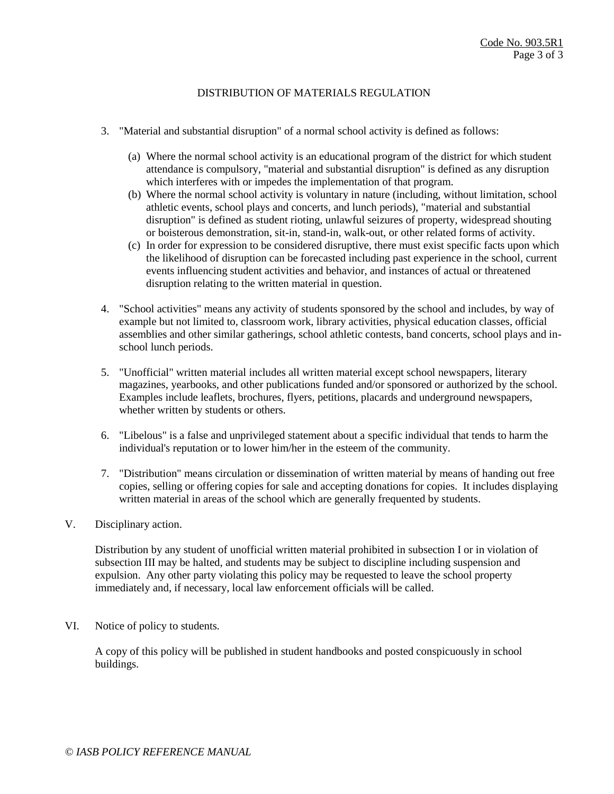# DISTRIBUTION OF MATERIALS REGULATION

- 3. "Material and substantial disruption" of a normal school activity is defined as follows:
	- (a) Where the normal school activity is an educational program of the district for which student attendance is compulsory, "material and substantial disruption" is defined as any disruption which interferes with or impedes the implementation of that program.
	- (b) Where the normal school activity is voluntary in nature (including, without limitation, school athletic events, school plays and concerts, and lunch periods), "material and substantial disruption" is defined as student rioting, unlawful seizures of property, widespread shouting or boisterous demonstration, sit-in, stand-in, walk-out, or other related forms of activity.
	- (c) In order for expression to be considered disruptive, there must exist specific facts upon which the likelihood of disruption can be forecasted including past experience in the school, current events influencing student activities and behavior, and instances of actual or threatened disruption relating to the written material in question.
- 4. "School activities" means any activity of students sponsored by the school and includes, by way of example but not limited to, classroom work, library activities, physical education classes, official assemblies and other similar gatherings, school athletic contests, band concerts, school plays and inschool lunch periods.
- 5. "Unofficial" written material includes all written material except school newspapers, literary magazines, yearbooks, and other publications funded and/or sponsored or authorized by the school. Examples include leaflets, brochures, flyers, petitions, placards and underground newspapers, whether written by students or others.
- 6. "Libelous" is a false and unprivileged statement about a specific individual that tends to harm the individual's reputation or to lower him/her in the esteem of the community.
- 7. "Distribution" means circulation or dissemination of written material by means of handing out free copies, selling or offering copies for sale and accepting donations for copies. It includes displaying written material in areas of the school which are generally frequented by students.
- V. Disciplinary action.

Distribution by any student of unofficial written material prohibited in subsection I or in violation of subsection III may be halted, and students may be subject to discipline including suspension and expulsion. Any other party violating this policy may be requested to leave the school property immediately and, if necessary, local law enforcement officials will be called.

VI. Notice of policy to students.

A copy of this policy will be published in student handbooks and posted conspicuously in school buildings.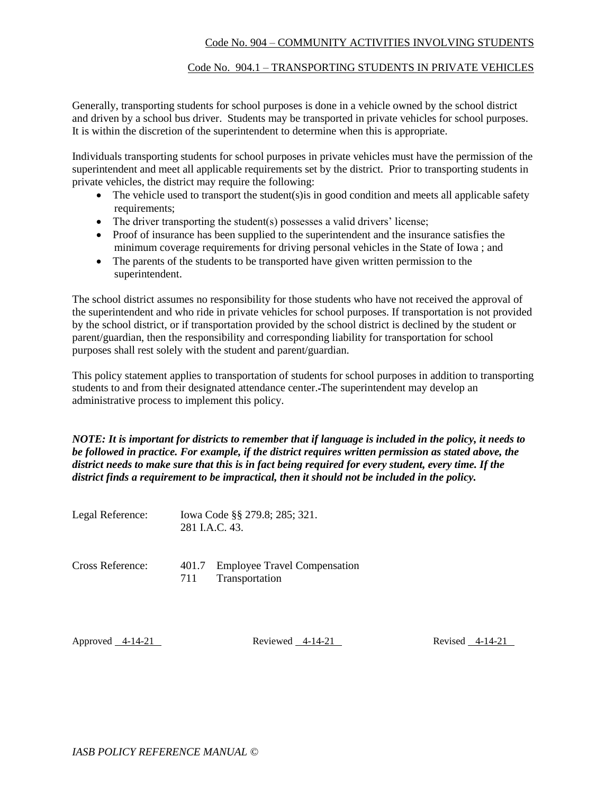# Code No. 904 – COMMUNITY ACTIVITIES INVOLVING STUDENTS

### Code No. 904.1 – TRANSPORTING STUDENTS IN PRIVATE VEHICLES

Generally, transporting students for school purposes is done in a vehicle owned by the school district and driven by a school bus driver. Students may be transported in private vehicles for school purposes. It is within the discretion of the superintendent to determine when this is appropriate.

Individuals transporting students for school purposes in private vehicles must have the permission of the superintendent and meet all applicable requirements set by the district. Prior to transporting students in private vehicles, the district may require the following:

- $\bullet$  The vehicle used to transport the student(s) is in good condition and meets all applicable safety requirements;
- The driver transporting the student(s) possesses a valid drivers' license;
- Proof of insurance has been supplied to the superintendent and the insurance satisfies the minimum coverage requirements for driving personal vehicles in the State of Iowa ; and
- The parents of the students to be transported have given written permission to the superintendent.

The school district assumes no responsibility for those students who have not received the approval of the superintendent and who ride in private vehicles for school purposes. If transportation is not provided by the school district, or if transportation provided by the school district is declined by the student or parent/guardian, then the responsibility and corresponding liability for transportation for school purposes shall rest solely with the student and parent/guardian.

This policy statement applies to transportation of students for school purposes in addition to transporting students to and from their designated attendance center. The superintendent may develop an administrative process to implement this policy.

*NOTE: It is important for districts to remember that if language is included in the policy, it needs to be followed in practice. For example, if the district requires written permission as stated above, the district needs to make sure that this is in fact being required for every student, every time. If the district finds a requirement to be impractical, then it should not be included in the policy.* 

Legal Reference: Iowa Code §§ 279.8; 285; 321. 281 I.A.C. 43.

| Cross Reference: |     | 401.7 Employee Travel Compensation |
|------------------|-----|------------------------------------|
|                  | 711 | Transportation                     |

Approved 4-14-21 Reviewed 4-14-21 Reviewed 4-14-21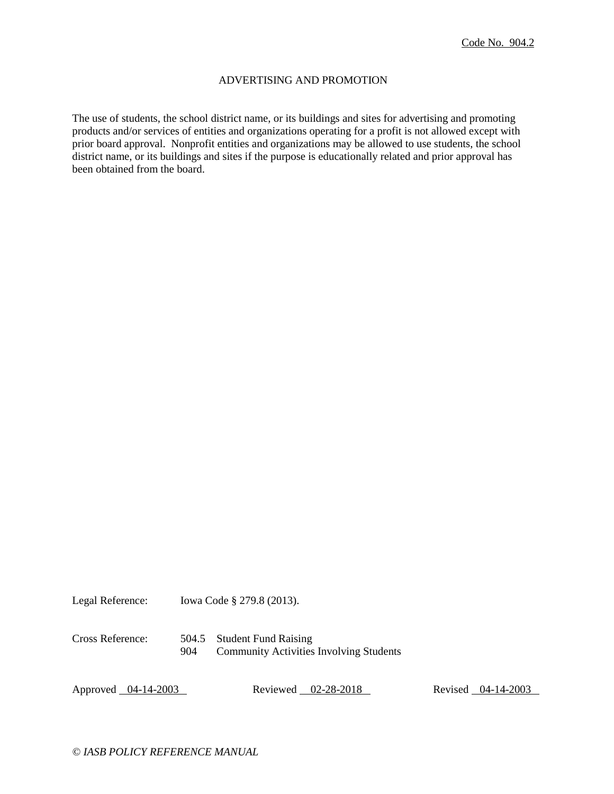### ADVERTISING AND PROMOTION

The use of students, the school district name, or its buildings and sites for advertising and promoting products and/or services of entities and organizations operating for a profit is not allowed except with prior board approval. Nonprofit entities and organizations may be allowed to use students, the school district name, or its buildings and sites if the purpose is educationally related and prior approval has been obtained from the board.

Legal Reference: Iowa Code § 279.8 (2013).

Cross Reference: 504.5 Student Fund Raising 904 Community Activities Involving Students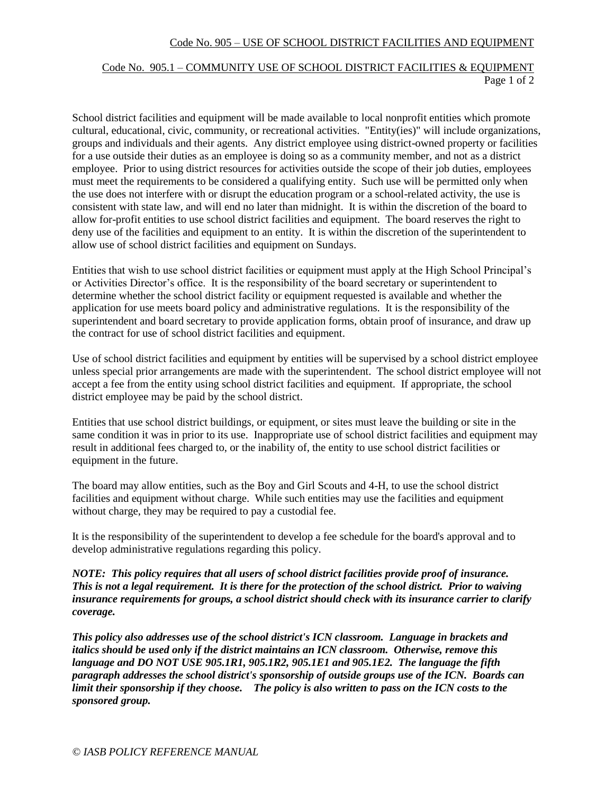## Code No. 905 – USE OF SCHOOL DISTRICT FACILITIES AND EQUIPMENT

# Code No. 905.1 – COMMUNITY USE OF SCHOOL DISTRICT FACILITIES & EQUIPMENT Page 1 of 2

School district facilities and equipment will be made available to local nonprofit entities which promote cultural, educational, civic, community, or recreational activities. "Entity(ies)" will include organizations, groups and individuals and their agents. Any district employee using district-owned property or facilities for a use outside their duties as an employee is doing so as a community member, and not as a district employee. Prior to using district resources for activities outside the scope of their job duties, employees must meet the requirements to be considered a qualifying entity. Such use will be permitted only when the use does not interfere with or disrupt the education program or a school-related activity, the use is consistent with state law, and will end no later than midnight. It is within the discretion of the board to allow for-profit entities to use school district facilities and equipment. The board reserves the right to deny use of the facilities and equipment to an entity. It is within the discretion of the superintendent to allow use of school district facilities and equipment on Sundays.

Entities that wish to use school district facilities or equipment must apply at the High School Principal's or Activities Director's office. It is the responsibility of the board secretary or superintendent to determine whether the school district facility or equipment requested is available and whether the application for use meets board policy and administrative regulations. It is the responsibility of the superintendent and board secretary to provide application forms, obtain proof of insurance, and draw up the contract for use of school district facilities and equipment.

Use of school district facilities and equipment by entities will be supervised by a school district employee unless special prior arrangements are made with the superintendent. The school district employee will not accept a fee from the entity using school district facilities and equipment. If appropriate, the school district employee may be paid by the school district.

Entities that use school district buildings, or equipment, or sites must leave the building or site in the same condition it was in prior to its use. Inappropriate use of school district facilities and equipment may result in additional fees charged to, or the inability of, the entity to use school district facilities or equipment in the future.

The board may allow entities, such as the Boy and Girl Scouts and 4-H, to use the school district facilities and equipment without charge. While such entities may use the facilities and equipment without charge, they may be required to pay a custodial fee.

It is the responsibility of the superintendent to develop a fee schedule for the board's approval and to develop administrative regulations regarding this policy.

*NOTE: This policy requires that all users of school district facilities provide proof of insurance. This is not a legal requirement. It is there for the protection of the school district. Prior to waiving insurance requirements for groups, a school district should check with its insurance carrier to clarify coverage.*

*This policy also addresses use of the school district's ICN classroom. Language in brackets and italics should be used only if the district maintains an ICN classroom. Otherwise, remove this language and DO NOT USE 905.1R1, 905.1R2, 905.1E1 and 905.1E2. The language the fifth paragraph addresses the school district's sponsorship of outside groups use of the ICN. Boards can limit their sponsorship if they choose. The policy is also written to pass on the ICN costs to the sponsored group.*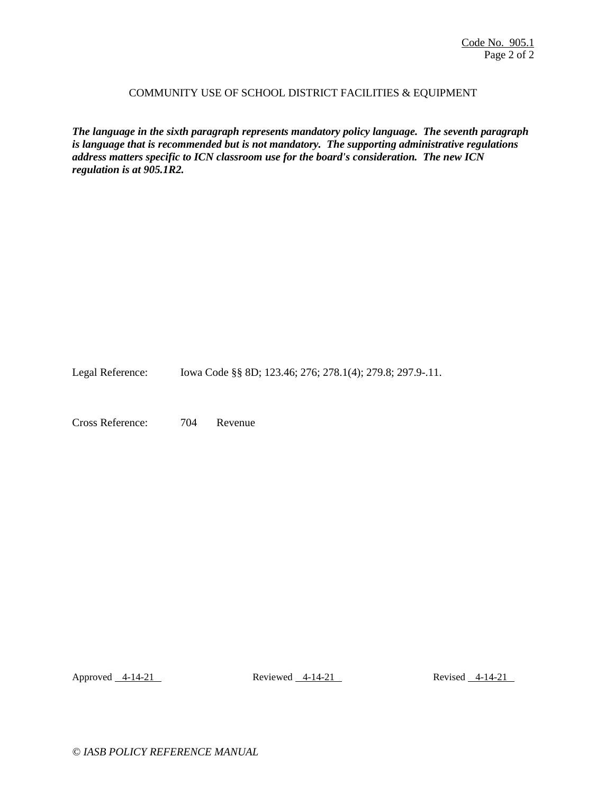### COMMUNITY USE OF SCHOOL DISTRICT FACILITIES & EQUIPMENT

*The language in the sixth paragraph represents mandatory policy language. The seventh paragraph is language that is recommended but is not mandatory. The supporting administrative regulations address matters specific to ICN classroom use for the board's consideration. The new ICN regulation is at 905.1R2.* 

Legal Reference: Iowa Code §§ 8D; 123.46; 276; 278.1(4); 279.8; 297.9-.11.

Cross Reference: 704 Revenue

Approved 4-14-21 Reviewed 4-14-21 Reviewed 4-14-21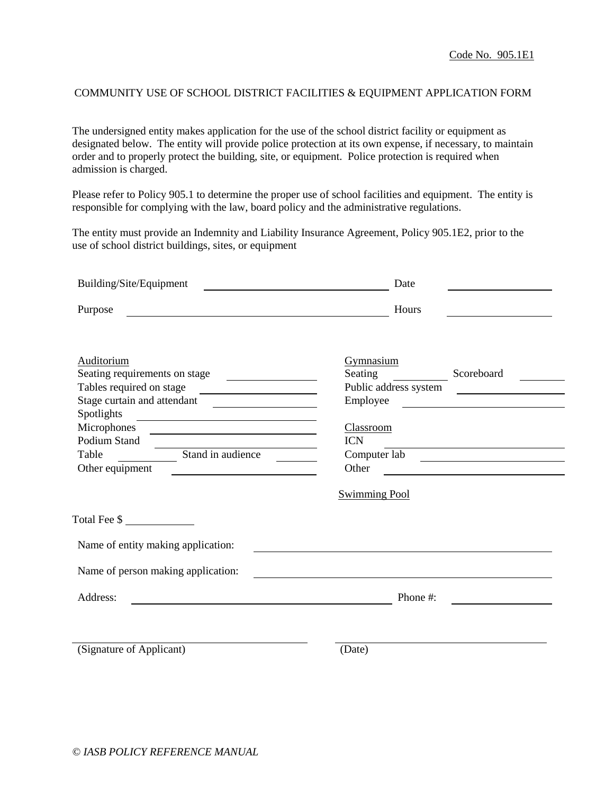## COMMUNITY USE OF SCHOOL DISTRICT FACILITIES & EQUIPMENT APPLICATION FORM

The undersigned entity makes application for the use of the school district facility or equipment as designated below. The entity will provide police protection at its own expense, if necessary, to maintain order and to properly protect the building, site, or equipment. Police protection is required when admission is charged.

Please refer to Policy 905.1 to determine the proper use of school facilities and equipment. The entity is responsible for complying with the law, board policy and the administrative regulations.

The entity must provide an Indemnity and Liability Insurance Agreement, Policy 905.1E2, prior to the use of school district buildings, sites, or equipment

| Building/Site/Equipment<br><u> 1989 - Johann Barbara, martin amerikan basal dan berasal dalam basal dalam basal dalam basal dalam basal dala</u> | Date                                                                                                                  |
|--------------------------------------------------------------------------------------------------------------------------------------------------|-----------------------------------------------------------------------------------------------------------------------|
| Purpose                                                                                                                                          | Hours                                                                                                                 |
|                                                                                                                                                  |                                                                                                                       |
| Auditorium                                                                                                                                       | Gymnasium                                                                                                             |
| Seating requirements on stage                                                                                                                    | Scoreboard<br>Seating                                                                                                 |
| Tables required on stage                                                                                                                         | Public address system<br><u> 1989 - Andrea Andrew Maria Barat (</u>                                                   |
| Stage curtain and attendant                                                                                                                      | Employee                                                                                                              |
| Spotlights<br><u> Alexandria de la construcción de la construcción de la construcción de la construcción de la construcción de</u>               |                                                                                                                       |
| Microphones                                                                                                                                      | Classroom                                                                                                             |
| Podium Stand                                                                                                                                     | <b>ICN</b>                                                                                                            |
| Stand in audience<br>Table                                                                                                                       | Computer lab                                                                                                          |
| Other equipment                                                                                                                                  | Other<br><u> 1989 - Johann Stein, fransk politiker (d. 1989)</u>                                                      |
|                                                                                                                                                  | <b>Swimming Pool</b>                                                                                                  |
|                                                                                                                                                  |                                                                                                                       |
|                                                                                                                                                  |                                                                                                                       |
| Name of entity making application:                                                                                                               |                                                                                                                       |
| Name of person making application:                                                                                                               | <u>a sa barang sa mga sangang nagarang nagarang nagarang nagarang nagarang nagarang nagarang nagarang nagarang na</u> |
| Address:                                                                                                                                         | Phone #:                                                                                                              |
|                                                                                                                                                  |                                                                                                                       |
| (Signature of Applicant)                                                                                                                         | (Date)                                                                                                                |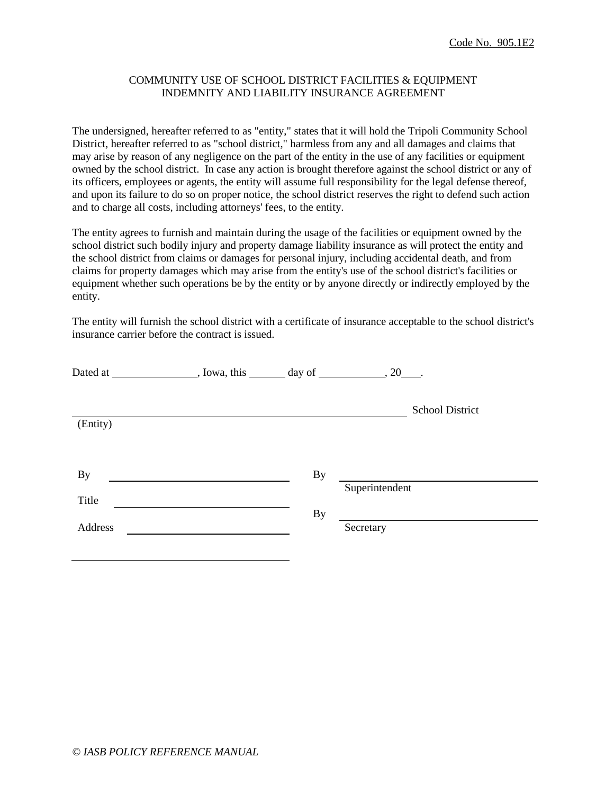## COMMUNITY USE OF SCHOOL DISTRICT FACILITIES & EQUIPMENT INDEMNITY AND LIABILITY INSURANCE AGREEMENT

The undersigned, hereafter referred to as "entity," states that it will hold the Tripoli Community School District, hereafter referred to as "school district," harmless from any and all damages and claims that may arise by reason of any negligence on the part of the entity in the use of any facilities or equipment owned by the school district. In case any action is brought therefore against the school district or any of its officers, employees or agents, the entity will assume full responsibility for the legal defense thereof, and upon its failure to do so on proper notice, the school district reserves the right to defend such action and to charge all costs, including attorneys' fees, to the entity.

The entity agrees to furnish and maintain during the usage of the facilities or equipment owned by the school district such bodily injury and property damage liability insurance as will protect the entity and the school district from claims or damages for personal injury, including accidental death, and from claims for property damages which may arise from the entity's use of the school district's facilities or equipment whether such operations be by the entity or by anyone directly or indirectly employed by the entity.

The entity will furnish the school district with a certificate of insurance acceptable to the school district's insurance carrier before the contract is issued.

|           | $1$ , Iowa, this $\_\_\_\_$ day of $\_\_\_\_\_$ , 20 $\_\_\_\_\_\_\_\_\_$ . |           |                        |
|-----------|-----------------------------------------------------------------------------|-----------|------------------------|
| (Entity)  |                                                                             |           | <b>School District</b> |
| <b>By</b> |                                                                             | By        |                        |
| Title     |                                                                             | <b>By</b> | Superintendent         |
| Address   |                                                                             |           | Secretary              |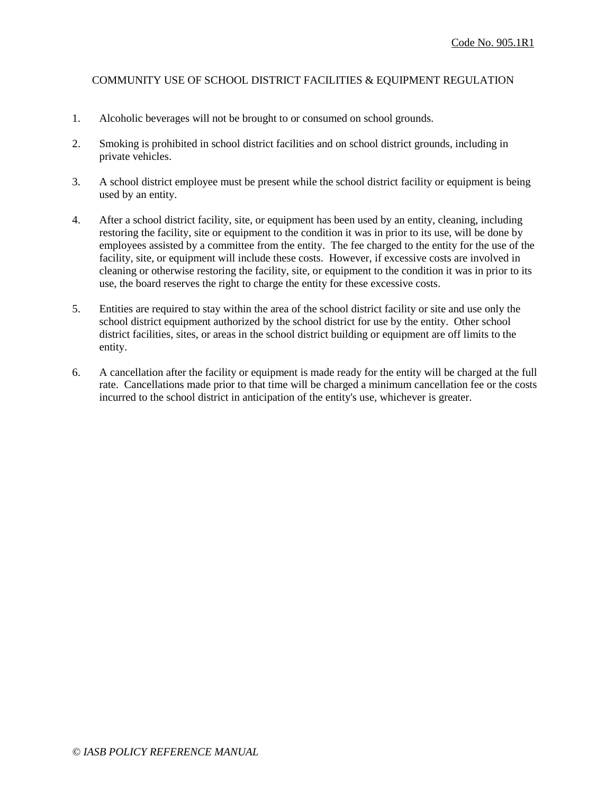## COMMUNITY USE OF SCHOOL DISTRICT FACILITIES & EQUIPMENT REGULATION

- 1. Alcoholic beverages will not be brought to or consumed on school grounds.
- 2. Smoking is prohibited in school district facilities and on school district grounds, including in private vehicles.
- 3. A school district employee must be present while the school district facility or equipment is being used by an entity.
- 4. After a school district facility, site, or equipment has been used by an entity, cleaning, including restoring the facility, site or equipment to the condition it was in prior to its use, will be done by employees assisted by a committee from the entity. The fee charged to the entity for the use of the facility, site, or equipment will include these costs. However, if excessive costs are involved in cleaning or otherwise restoring the facility, site, or equipment to the condition it was in prior to its use, the board reserves the right to charge the entity for these excessive costs.
- 5. Entities are required to stay within the area of the school district facility or site and use only the school district equipment authorized by the school district for use by the entity. Other school district facilities, sites, or areas in the school district building or equipment are off limits to the entity.
- 6. A cancellation after the facility or equipment is made ready for the entity will be charged at the full rate. Cancellations made prior to that time will be charged a minimum cancellation fee or the costs incurred to the school district in anticipation of the entity's use, whichever is greater.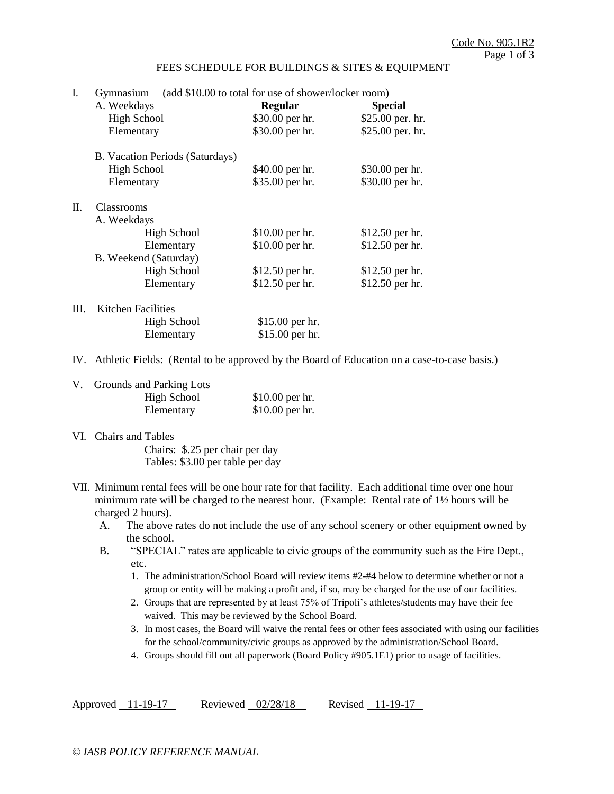#### FEES SCHEDULE FOR BUILDINGS & SITES & EQUIPMENT

| I.   | Gymnasium                       | (add \$10.00 to total for use of shower/locker room) |                  |  |  |
|------|---------------------------------|------------------------------------------------------|------------------|--|--|
|      | A. Weekdays                     | <b>Regular</b>                                       | <b>Special</b>   |  |  |
|      | <b>High School</b>              | $$30.00$ per hr.                                     | \$25.00 per. hr. |  |  |
|      | Elementary                      | \$30.00 per hr.                                      | \$25.00 per. hr. |  |  |
|      | B. Vacation Periods (Saturdays) |                                                      |                  |  |  |
|      | <b>High School</b>              | \$40.00 per hr.                                      | \$30.00 per hr.  |  |  |
|      | Elementary                      | \$35.00 per hr.                                      | \$30.00 per hr.  |  |  |
| П.   | <b>Classrooms</b>               |                                                      |                  |  |  |
|      | A. Weekdays                     |                                                      |                  |  |  |
|      | High School                     | \$10.00 per hr.                                      | \$12.50 per hr.  |  |  |
|      | Elementary                      | \$10.00 per hr.                                      | \$12.50 per hr.  |  |  |
|      | B. Weekend (Saturday)           |                                                      |                  |  |  |
|      | <b>High School</b>              | \$12.50 per hr.                                      | \$12.50 per hr.  |  |  |
|      | Elementary                      | \$12.50 per hr.                                      | \$12.50 per hr.  |  |  |
| III. | Kitchen Facilities              |                                                      |                  |  |  |
|      | <b>High School</b>              | \$15.00 per hr.                                      |                  |  |  |
|      | Elementary                      | \$15.00 per hr.                                      |                  |  |  |

IV. Athletic Fields: (Rental to be approved by the Board of Education on a case-to-case basis.)

| V. Grounds and Parking Lots |                  |
|-----------------------------|------------------|
| <b>High School</b>          | $$10.00$ per hr. |
| Elementary                  | $$10.00$ per hr. |

VI. Chairs and Tables

Chairs: \$.25 per chair per day Tables: \$3.00 per table per day

- VII. Minimum rental fees will be one hour rate for that facility. Each additional time over one hour minimum rate will be charged to the nearest hour. (Example: Rental rate of 1½ hours will be charged 2 hours).
	- A. The above rates do not include the use of any school scenery or other equipment owned by the school.
	- B. "SPECIAL" rates are applicable to civic groups of the community such as the Fire Dept., etc.
		- 1. The administration/School Board will review items #2-#4 below to determine whether or not a group or entity will be making a profit and, if so, may be charged for the use of our facilities.
		- 2. Groups that are represented by at least 75% of Tripoli's athletes/students may have their fee waived. This may be reviewed by the School Board.
		- 3. In most cases, the Board will waive the rental fees or other fees associated with using our facilities for the school/community/civic groups as approved by the administration/School Board.
		- 4. Groups should fill out all paperwork (Board Policy #905.1E1) prior to usage of facilities.

Approved 11-19-17 Reviewed 02/28/18 Revised 11-19-17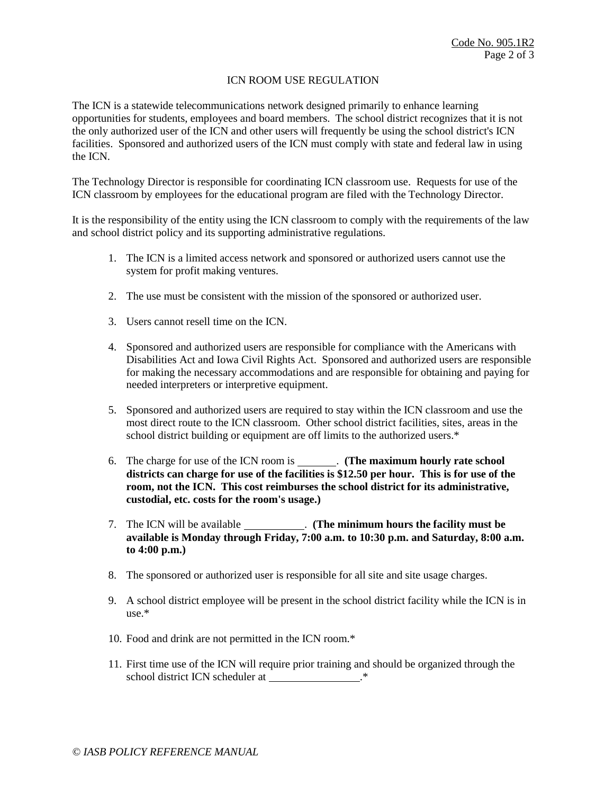# ICN ROOM USE REGULATION

The ICN is a statewide telecommunications network designed primarily to enhance learning opportunities for students, employees and board members. The school district recognizes that it is not the only authorized user of the ICN and other users will frequently be using the school district's ICN facilities. Sponsored and authorized users of the ICN must comply with state and federal law in using the ICN.

The Technology Director is responsible for coordinating ICN classroom use. Requests for use of the ICN classroom by employees for the educational program are filed with the Technology Director.

It is the responsibility of the entity using the ICN classroom to comply with the requirements of the law and school district policy and its supporting administrative regulations.

- 1. The ICN is a limited access network and sponsored or authorized users cannot use the system for profit making ventures.
- 2. The use must be consistent with the mission of the sponsored or authorized user.
- 3. Users cannot resell time on the ICN.
- 4. Sponsored and authorized users are responsible for compliance with the Americans with Disabilities Act and Iowa Civil Rights Act. Sponsored and authorized users are responsible for making the necessary accommodations and are responsible for obtaining and paying for needed interpreters or interpretive equipment.
- 5. Sponsored and authorized users are required to stay within the ICN classroom and use the most direct route to the ICN classroom. Other school district facilities, sites, areas in the school district building or equipment are off limits to the authorized users.\*
- 6. The charge for use of the ICN room is . **(The maximum hourly rate school districts can charge for use of the facilities is \$12.50 per hour. This is for use of the room, not the ICN. This cost reimburses the school district for its administrative, custodial, etc. costs for the room's usage.)**
- 7. The ICN will be available . **(The minimum hours the facility must be available is Monday through Friday, 7:00 a.m. to 10:30 p.m. and Saturday, 8:00 a.m. to 4:00 p.m.)**
- 8. The sponsored or authorized user is responsible for all site and site usage charges.
- 9. A school district employee will be present in the school district facility while the ICN is in use.\*
- 10. Food and drink are not permitted in the ICN room.\*
- 11. First time use of the ICN will require prior training and should be organized through the school district ICN scheduler at  $.*$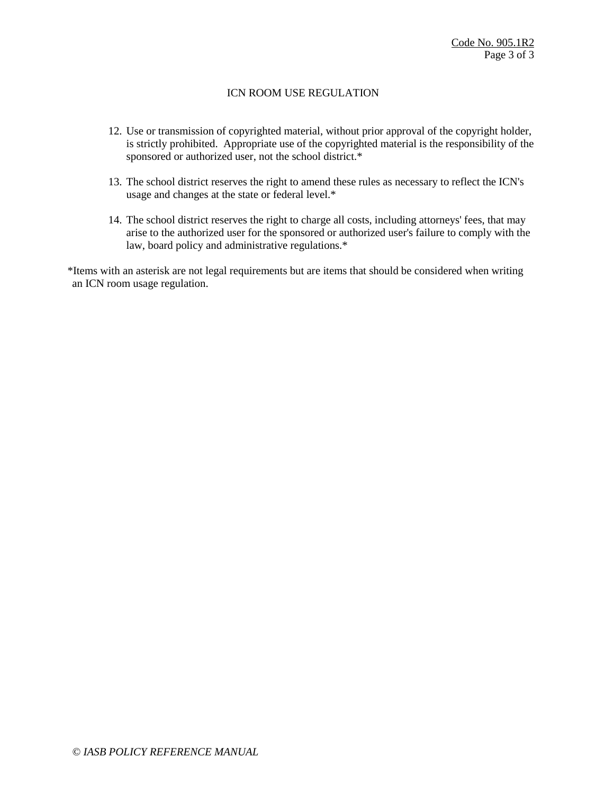## ICN ROOM USE REGULATION

- 12. Use or transmission of copyrighted material, without prior approval of the copyright holder, is strictly prohibited. Appropriate use of the copyrighted material is the responsibility of the sponsored or authorized user, not the school district.<sup>\*</sup>
- 13. The school district reserves the right to amend these rules as necessary to reflect the ICN's usage and changes at the state or federal level.\*
- 14. The school district reserves the right to charge all costs, including attorneys' fees, that may arise to the authorized user for the sponsored or authorized user's failure to comply with the law, board policy and administrative regulations.\*

\*Items with an asterisk are not legal requirements but are items that should be considered when writing an ICN room usage regulation.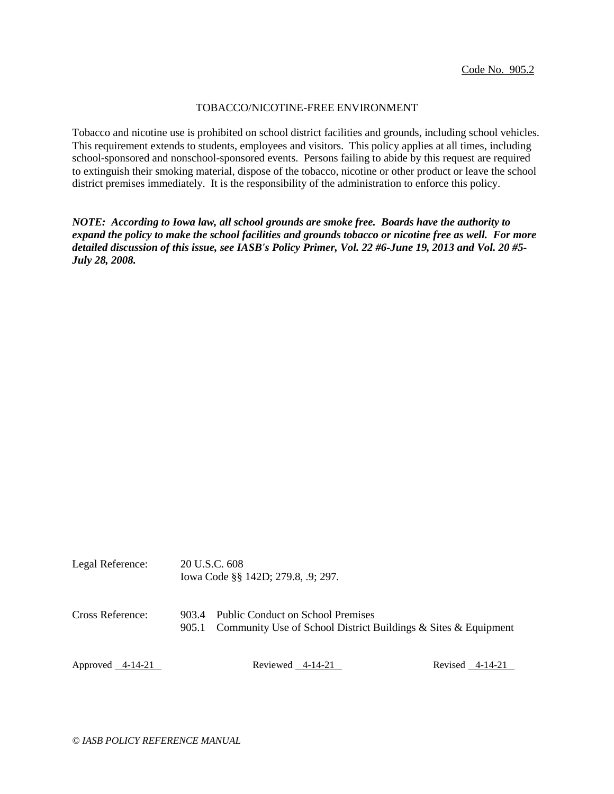#### TOBACCO/NICOTINE-FREE ENVIRONMENT

Tobacco and nicotine use is prohibited on school district facilities and grounds, including school vehicles. This requirement extends to students, employees and visitors. This policy applies at all times, including school-sponsored and nonschool-sponsored events. Persons failing to abide by this request are required to extinguish their smoking material, dispose of the tobacco, nicotine or other product or leave the school district premises immediately. It is the responsibility of the administration to enforce this policy.

*NOTE: According to Iowa law, all school grounds are smoke free. Boards have the authority to expand the policy to make the school facilities and grounds tobacco or nicotine free as well. For more detailed discussion of this issue, see IASB's Policy Primer, Vol. 22 #6-June 19, 2013 and Vol. 20 #5- July 28, 2008.*

| Legal Reference: | 20 U.S.C. 608<br>Iowa Code §§ 142D; 279.8, .9; 297. |
|------------------|-----------------------------------------------------|
|                  |                                                     |

Cross Reference: 903.4 Public Conduct on School Premises 905.1 Community Use of School District Buildings & Sites & Equipment

Approved 4-14-21 Reviewed 4-14-21 Reviewed 4-14-21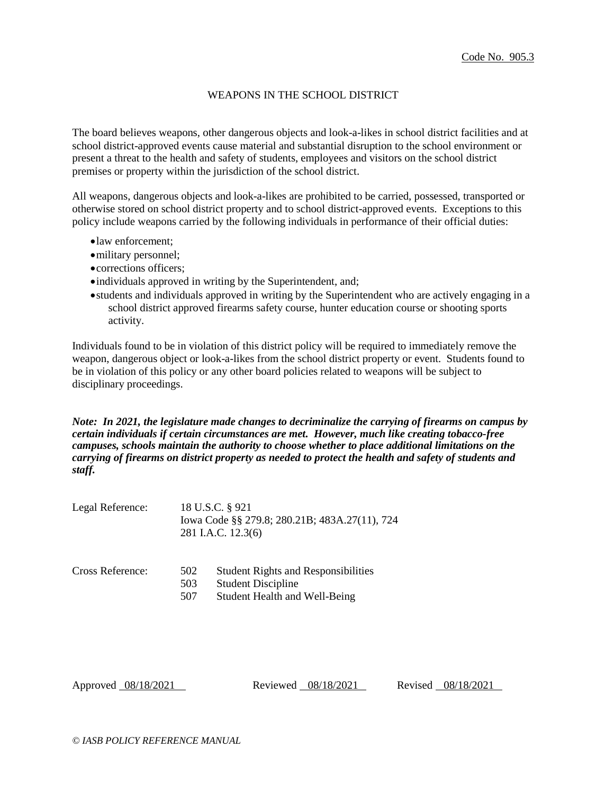### WEAPONS IN THE SCHOOL DISTRICT

The board believes weapons, other dangerous objects and look-a-likes in school district facilities and at school district-approved events cause material and substantial disruption to the school environment or present a threat to the health and safety of students, employees and visitors on the school district premises or property within the jurisdiction of the school district.

All weapons, dangerous objects and look-a-likes are prohibited to be carried, possessed, transported or otherwise stored on school district property and to school district-approved events. Exceptions to this policy include weapons carried by the following individuals in performance of their official duties:

- law enforcement;
- military personnel;
- corrections officers;
- individuals approved in writing by the Superintendent, and;
- students and individuals approved in writing by the Superintendent who are actively engaging in a school district approved firearms safety course, hunter education course or shooting sports activity.

Individuals found to be in violation of this district policy will be required to immediately remove the weapon, dangerous object or look-a-likes from the school district property or event. Students found to be in violation of this policy or any other board policies related to weapons will be subject to disciplinary proceedings.

*Note: In 2021, the legislature made changes to decriminalize the carrying of firearms on campus by certain individuals if certain circumstances are met. However, much like creating tobacco-free campuses, schools maintain the authority to choose whether to place additional limitations on the carrying of firearms on district property as needed to protect the health and safety of students and staff.*

| Legal Reference: | 18 U.S.C. § 921                               |
|------------------|-----------------------------------------------|
|                  | Iowa Code §§ 279.8; 280.21B; 483A.27(11), 724 |
|                  | 281 I.A.C. 12.3(6)                            |

| Cross Reference: | 502 | <b>Student Rights and Responsibilities</b> |  |
|------------------|-----|--------------------------------------------|--|
|                  | 503 | <b>Student Discipline</b>                  |  |
|                  | 507 | Student Health and Well-Being              |  |

Approved 08/18/2021 Reviewed 08/18/2021 Revised 08/18/2021

*© IASB POLICY REFERENCE MANUAL*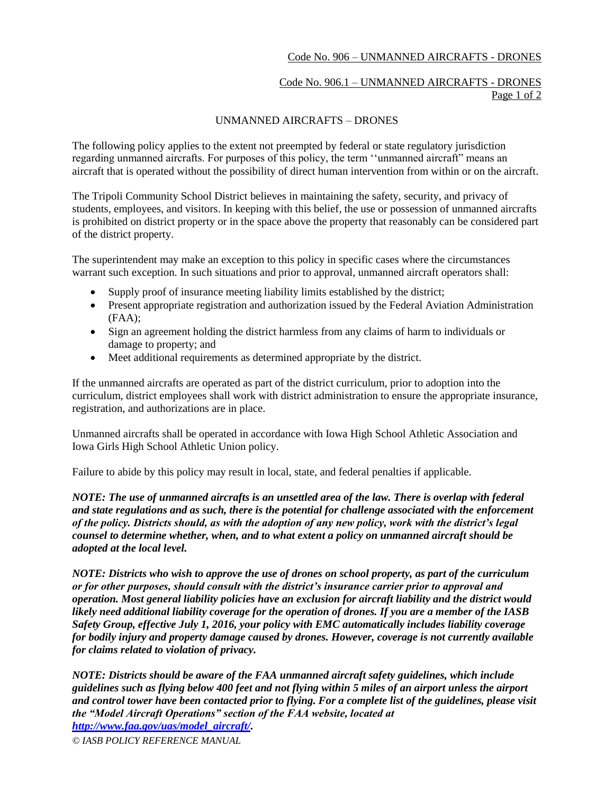## Code No. 906 – UNMANNED AIRCRAFTS - DRONES

# Code No. 906.1 – UNMANNED AIRCRAFTS - DRONES Page 1 of 2

### UNMANNED AIRCRAFTS – DRONES

The following policy applies to the extent not preempted by federal or state regulatory jurisdiction regarding unmanned aircrafts. For purposes of this policy, the term ''unmanned aircraft" means an aircraft that is operated without the possibility of direct human intervention from within or on the aircraft.

The Tripoli Community School District believes in maintaining the safety, security, and privacy of students, employees, and visitors. In keeping with this belief, the use or possession of unmanned aircrafts is prohibited on district property or in the space above the property that reasonably can be considered part of the district property.

The superintendent may make an exception to this policy in specific cases where the circumstances warrant such exception. In such situations and prior to approval, unmanned aircraft operators shall:

- Supply proof of insurance meeting liability limits established by the district;
- Present appropriate registration and authorization issued by the Federal Aviation Administration (FAA);
- Sign an agreement holding the district harmless from any claims of harm to individuals or damage to property; and
- Meet additional requirements as determined appropriate by the district.

If the unmanned aircrafts are operated as part of the district curriculum, prior to adoption into the curriculum, district employees shall work with district administration to ensure the appropriate insurance, registration, and authorizations are in place.

Unmanned aircrafts shall be operated in accordance with Iowa High School Athletic Association and Iowa Girls High School Athletic Union policy.

Failure to abide by this policy may result in local, state, and federal penalties if applicable.

*NOTE: The use of unmanned aircrafts is an unsettled area of the law. There is overlap with federal and state regulations and as such, there is the potential for challenge associated with the enforcement of the policy. Districts should, as with the adoption of any new policy, work with the district's legal counsel to determine whether, when, and to what extent a policy on unmanned aircraft should be adopted at the local level.* 

*NOTE: Districts who wish to approve the use of drones on school property, as part of the curriculum or for other purposes, should consult with the district's insurance carrier prior to approval and operation. Most general liability policies have an exclusion for aircraft liability and the district would likely need additional liability coverage for the operation of drones. If you are a member of the IASB Safety Group, effective July 1, 2016, your policy with EMC automatically includes liability coverage for bodily injury and property damage caused by drones. However, coverage is not currently available for claims related to violation of privacy.* 

*NOTE: Districts should be aware of the FAA unmanned aircraft safety guidelines, which include guidelines such as flying below 400 feet and not flying within 5 miles of an airport unless the airport and control tower have been contacted prior to flying. For a complete list of the guidelines, please visit the "Model Aircraft Operations" section of the FAA website, located at [http://www.faa.gov/uas/model\\_aircraft/.](http://www.faa.gov/uas/model_aircraft/)* 

*© IASB POLICY REFERENCE MANUAL*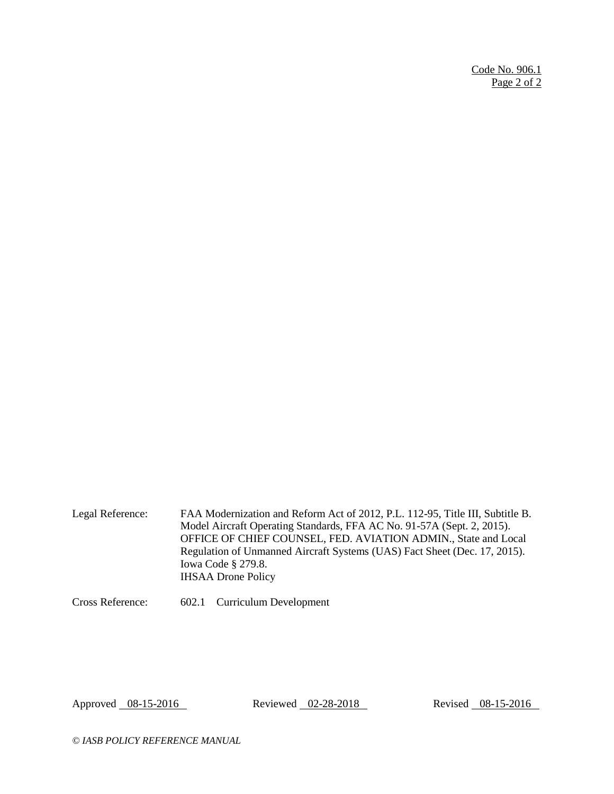Code No. 906.1 Page 2 of 2

Legal Reference: FAA Modernization and Reform Act of 2012, P.L. 112-95, Title III, Subtitle B. Model Aircraft Operating Standards, FFA AC No. 91-57A (Sept. 2, 2015). OFFICE OF CHIEF COUNSEL, FED. AVIATION ADMIN., State and Local Regulation of Unmanned Aircraft Systems (UAS) Fact Sheet (Dec. 17, 2015). Iowa Code § 279.8. IHSAA Drone Policy

Cross Reference: 602.1 Curriculum Development

Approved 08-15-2016 Reviewed 02-28-2018 Revised 08-15-2016

*© IASB POLICY REFERENCE MANUAL*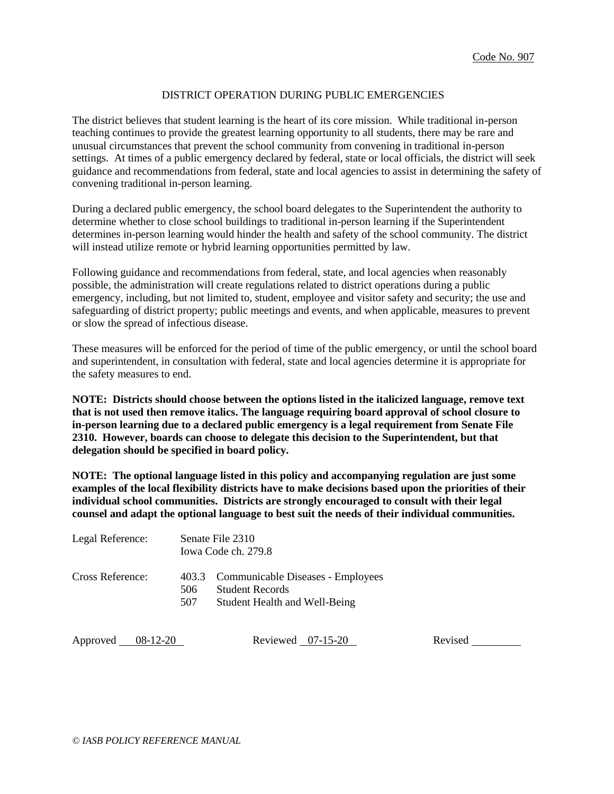#### DISTRICT OPERATION DURING PUBLIC EMERGENCIES

The district believes that student learning is the heart of its core mission. While traditional in-person teaching continues to provide the greatest learning opportunity to all students, there may be rare and unusual circumstances that prevent the school community from convening in traditional in-person settings. At times of a public emergency declared by federal, state or local officials, the district will seek guidance and recommendations from federal, state and local agencies to assist in determining the safety of convening traditional in-person learning.

During a declared public emergency, the school board delegates to the Superintendent the authority to determine whether to close school buildings to traditional in-person learning if the Superintendent determines in-person learning would hinder the health and safety of the school community. The district will instead utilize remote or hybrid learning opportunities permitted by law.

Following guidance and recommendations from federal, state, and local agencies when reasonably possible, the administration will create regulations related to district operations during a public emergency, including, but not limited to, student, employee and visitor safety and security; the use and safeguarding of district property; public meetings and events, and when applicable, measures to prevent or slow the spread of infectious disease.

These measures will be enforced for the period of time of the public emergency, or until the school board and superintendent, in consultation with federal, state and local agencies determine it is appropriate for the safety measures to end.

**NOTE: Districts should choose between the options listed in the italicized language, remove text that is not used then remove italics. The language requiring board approval of school closure to in-person learning due to a declared public emergency is a legal requirement from Senate File 2310. However, boards can choose to delegate this decision to the Superintendent, but that delegation should be specified in board policy.** 

**NOTE: The optional language listed in this policy and accompanying regulation are just some examples of the local flexibility districts have to make decisions based upon the priorities of their individual school communities. Districts are strongly encouraged to consult with their legal counsel and adapt the optional language to best suit the needs of their individual communities.**

| Legal Reference:       |            | Senate File 2310<br>Iowa Code ch. 279.8                                                            |         |  |  |
|------------------------|------------|----------------------------------------------------------------------------------------------------|---------|--|--|
| Cross Reference:       | 506<br>507 | 403.3 Communicable Diseases - Employees<br><b>Student Records</b><br>Student Health and Well-Being |         |  |  |
| Approved<br>$08-12-20$ |            | Reviewed $07-15-20$                                                                                | Revised |  |  |